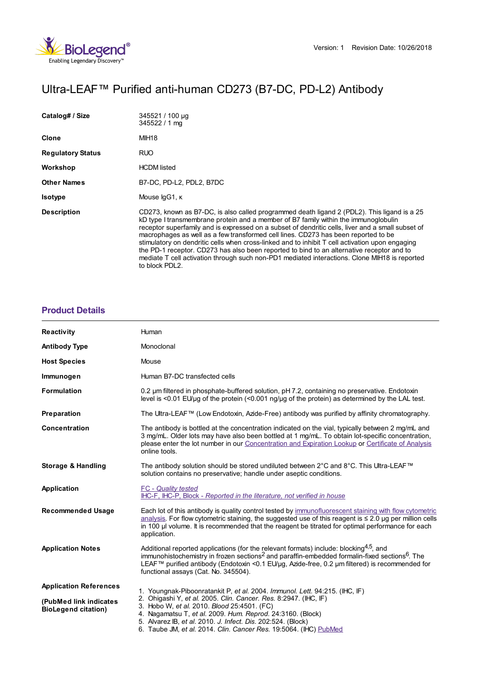# Ultra-LEAF™ Purified anti-human CD273 (B7-DC, PD-L2) Antibody

| Catalog# / Size          | 345521 / 100 µg<br>345522 / 1 mg                                                                                                                                                                                                                                                                                                                                                                                                                                                                                                                                                                                                                                                                 |
|--------------------------|--------------------------------------------------------------------------------------------------------------------------------------------------------------------------------------------------------------------------------------------------------------------------------------------------------------------------------------------------------------------------------------------------------------------------------------------------------------------------------------------------------------------------------------------------------------------------------------------------------------------------------------------------------------------------------------------------|
| Clone                    | MIH18                                                                                                                                                                                                                                                                                                                                                                                                                                                                                                                                                                                                                                                                                            |
| <b>Regulatory Status</b> | RUO                                                                                                                                                                                                                                                                                                                                                                                                                                                                                                                                                                                                                                                                                              |
| Workshop                 | <b>HCDM</b> listed                                                                                                                                                                                                                                                                                                                                                                                                                                                                                                                                                                                                                                                                               |
| <b>Other Names</b>       | B7-DC, PD-L2, PDL2, B7DC                                                                                                                                                                                                                                                                                                                                                                                                                                                                                                                                                                                                                                                                         |
| <b>Isotype</b>           | Mouse IgG1, K                                                                                                                                                                                                                                                                                                                                                                                                                                                                                                                                                                                                                                                                                    |
| <b>Description</b>       | CD273, known as B7-DC, is also called programmed death ligand 2 (PDL2). This ligand is a 25<br>kD type I transmembrane protein and a member of B7 family within the immunoglobulin<br>receptor superfamily and is expressed on a subset of dendritic cells, liver and a small subset of<br>macrophages as well as a few transformed cell lines. CD273 has been reported to be<br>stimulatory on dendritic cells when cross-linked and to inhibit T cell activation upon engaging<br>the PD-1 receptor. CD273 has also been reported to bind to an alternative receptor and to<br>mediate T cell activation through such non-PD1 mediated interactions. Clone MIH18 is reported<br>to block PDL2. |

# **[Product](https://www.biolegend.com/en-gb/products/ultra-leaf-purified-anti-human-cd273-b7-dc-pd-l2-antibody-16641?pdf=true&displayInline=true&leftRightMargin=15&topBottomMargin=15&filename=Ultra-LEAF%EF%BF%BD%EF%BF%BD%EF%BF%BD Purified anti-human CD273 (B7-DC, PD-L2) Antibody.pdf#productDetails) Details**

| Reactivity                                           | Human                                                                                                                                                                                                                                                                                                                                                                                             |
|------------------------------------------------------|---------------------------------------------------------------------------------------------------------------------------------------------------------------------------------------------------------------------------------------------------------------------------------------------------------------------------------------------------------------------------------------------------|
| <b>Antibody Type</b>                                 | Monoclonal                                                                                                                                                                                                                                                                                                                                                                                        |
| <b>Host Species</b>                                  | Mouse                                                                                                                                                                                                                                                                                                                                                                                             |
| Immunogen                                            | Human B7-DC transfected cells                                                                                                                                                                                                                                                                                                                                                                     |
| <b>Formulation</b>                                   | 0.2 µm filtered in phosphate-buffered solution, pH 7.2, containing no preservative. Endotoxin<br>level is $\leq$ 0.01 EU/µq of the protein $\leq$ 0.001 ng/µq of the protein) as determined by the LAL test.                                                                                                                                                                                      |
| Preparation                                          | The Ultra-LEAF™ (Low Endotoxin, Azide-Free) antibody was purified by affinity chromatography.                                                                                                                                                                                                                                                                                                     |
| <b>Concentration</b>                                 | The antibody is bottled at the concentration indicated on the vial, typically between 2 mg/mL and<br>3 mg/mL. Older lots may have also been bottled at 1 mg/mL. To obtain lot-specific concentration,<br>please enter the lot number in our Concentration and Expiration Lookup or Certificate of Analysis<br>online tools.                                                                       |
| Storage & Handling                                   | The antibody solution should be stored undiluted between 2°C and 8°C. This Ultra-LEAF™<br>solution contains no preservative; handle under aseptic conditions.                                                                                                                                                                                                                                     |
| Application                                          | <b>FC</b> - Quality tested<br>IHC-F, IHC-P, Block - Reported in the literature, not verified in house                                                                                                                                                                                                                                                                                             |
| <b>Recommended Usage</b>                             | Each lot of this antibody is quality control tested by immunofluorescent staining with flow cytometric<br>analysis. For flow cytometric staining, the suggested use of this reagent is ≤ 2.0 µg per million cells<br>in 100 µl volume. It is recommended that the reagent be titrated for optimal performance for each<br>application.                                                            |
| <b>Application Notes</b>                             | Additional reported applications (for the relevant formats) include: blocking <sup>4,5</sup> , and<br>immunohistochemistry in frozen sections <sup>2</sup> and paraffin-embedded formalin-fixed sections <sup>6</sup> . The<br>LEAF™ purified antibody (Endotoxin <0.1 EU/µg, Azide-free, 0.2 µm filtered) is recommended for<br>functional assays (Cat. No. 345504).                             |
| <b>Application References</b>                        | 1. Youngnak-Piboonratankit P, et al. 2004. Immunol. Lett. 94:215. (IHC, IF)<br>2. Ohigashi Y, et al. 2005. Clin. Cancer. Res. 8:2947. (IHC, IF)<br>3. Hobo W, et al. 2010. Blood 25:4501. (FC)<br>4. Nagamatsu T, et al. 2009. Hum. Reprod. 24:3160. (Block)<br>5. Alvarez IB, et al. 2010. J. Infect. Dis. 202:524. (Block)<br>6. Taube JM, et al. 2014. Clin. Cancer Res. 19:5064. (IHC) PubMed |
| (PubMed link indicates<br><b>BioLegend citation)</b> |                                                                                                                                                                                                                                                                                                                                                                                                   |